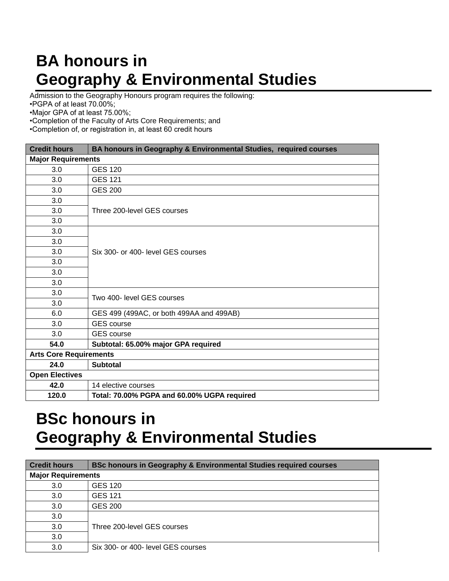## **BA honours in Geography & Environmental Studies**

Admission to the Geography Honours program requires the following:

•PGPA of at least 70.00%;

•Major GPA of at least 75.00%;

•Completion of the Faculty of Arts Core Requirements; and

•Completion of, or registration in, at least 60 credit hours

| <b>Credit hours</b>           | BA honours in Geography & Environmental Studies, required courses |  |
|-------------------------------|-------------------------------------------------------------------|--|
| <b>Major Requirements</b>     |                                                                   |  |
| 3.0                           | <b>GES 120</b>                                                    |  |
| 3.0                           | <b>GES 121</b>                                                    |  |
| 3.0                           | <b>GES 200</b>                                                    |  |
| 3.0                           | Three 200-level GES courses                                       |  |
| 3.0                           |                                                                   |  |
| 3.0                           |                                                                   |  |
| 3.0                           | Six 300- or 400- level GES courses                                |  |
| 3.0                           |                                                                   |  |
| 3.0                           |                                                                   |  |
| 3.0                           |                                                                   |  |
| 3.0                           |                                                                   |  |
| 3.0                           |                                                                   |  |
| 3.0                           | Two 400- level GES courses                                        |  |
| 3.0                           |                                                                   |  |
| 6.0                           | GES 499 (499AC, or both 499AA and 499AB)                          |  |
| 3.0                           | <b>GES</b> course                                                 |  |
| 3.0                           | <b>GES</b> course                                                 |  |
| 54.0                          | Subtotal: 65.00% major GPA required                               |  |
| <b>Arts Core Requirements</b> |                                                                   |  |
| 24.0                          | <b>Subtotal</b>                                                   |  |
| <b>Open Electives</b>         |                                                                   |  |
| 42.0                          | 14 elective courses                                               |  |
| 120.0                         | Total: 70.00% PGPA and 60.00% UGPA required                       |  |

## **BSc honours in Geography & Environmental Studies**

| <b>Credit hours</b>       | <b>BSc honours in Geography &amp; Environmental Studies required courses</b> |  |
|---------------------------|------------------------------------------------------------------------------|--|
| <b>Major Requirements</b> |                                                                              |  |
| 3.0                       | <b>GES 120</b>                                                               |  |
| 3.0                       | <b>GES 121</b>                                                               |  |
| 3.0                       | <b>GES 200</b>                                                               |  |
| 3.0                       |                                                                              |  |
| 3.0                       | Three 200-level GES courses                                                  |  |
| 3.0                       |                                                                              |  |
| 3.0                       | Six 300- or 400- level GES courses                                           |  |